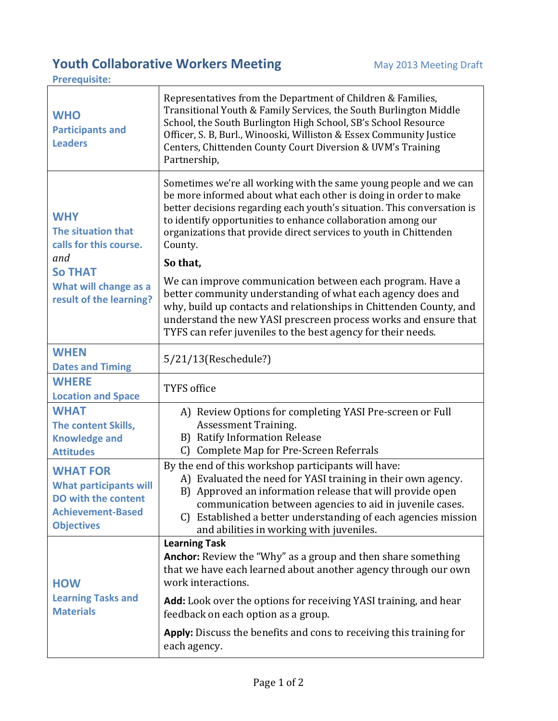## **Youth Collaborative Workers Meeting May 2013 Meeting Draft**

**Prerequisite:** 

**WHO Participants and Leaders** Representatives from the Department of Children & Families, Transitional Youth & Family Services, the South Burlington Middle School, the South Burlington High School, SB's School Resource Officer, S. B, Burl., Winooski, Williston & Essex Community Justice Centers, Chittenden County Court Diversion & UVM's Training Partnership, **WHY The situation that calls for this course.** *and* **So THAT What will change as a result of the learning?** Sometimes we're all working with the same young people and we can be more informed about what each other is doing in order to make better decisions regarding each youth's situation. This conversation is to identify opportunities to enhance collaboration among our organizations that provide direct services to youth in Chittenden County. **So that,** We can improve communication between each program. Have a better community understanding of what each agency does and why, build up contacts and relationships in Chittenden County, and understand the new YASI prescreen process works and ensure that TYFS can refer juveniles to the best agency for their needs. **WHEN Dates and Timing** 5/21/13(Reschedule?) **WHERE Location and Space** TYFS office **WHAT The content Skills, Knowledge and Attitudes** A) Review Options for completing YASI Pre-screen or Full Assessment Training. B) Ratify Information Release C) Complete Map for Pre-Screen Referrals **WHAT FOR What participants will DO with the content Achievement-Based Objectives** By the end of this workshop participants will have: A) Evaluated the need for YASI training in their own agency. B) Approved an information release that will provide open communication between agencies to aid in juvenile cases. C) Established a better understanding of each agencies mission and abilities in working with juveniles. **HOW Learning Tasks and Materials Learning Task Anchor:** Review the "Why" as a group and then share something that we have each learned about another agency through our own work interactions. **Add:** Look over the options for receiving YASI training, and hear feedback on each option as a group. **Apply:** Discuss the benefits and cons to receiving this training for each agency.